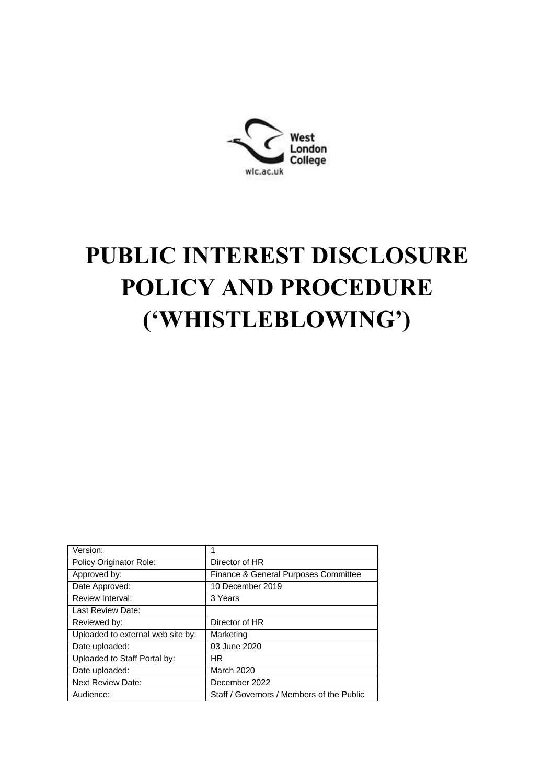

# **PUBLIC INTEREST DISCLOSURE POLICY AND PROCEDURE ('WHISTLEBLOWING')**

| Version:                          |                                           |
|-----------------------------------|-------------------------------------------|
| Policy Originator Role:           | Director of HR                            |
| Approved by:                      | Finance & General Purposes Committee      |
| Date Approved:                    | 10 December 2019                          |
| <b>Review Interval:</b>           | 3 Years                                   |
| Last Review Date:                 |                                           |
| Reviewed by:                      | Director of HR                            |
| Uploaded to external web site by: | Marketing                                 |
| Date uploaded:                    | 03 June 2020                              |
| Uploaded to Staff Portal by:      | HR.                                       |
| Date uploaded:                    | March 2020                                |
| <b>Next Review Date:</b>          | December 2022                             |
| Audience:                         | Staff / Governors / Members of the Public |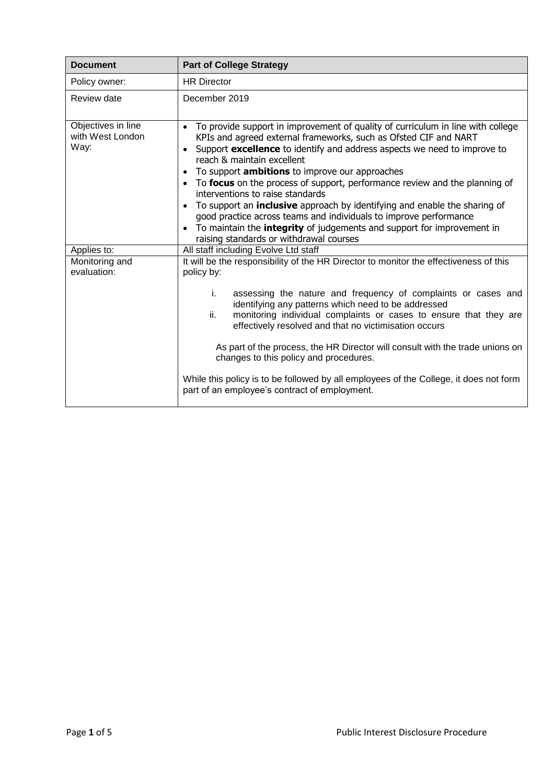| <b>Document</b>                                | <b>Part of College Strategy</b>                                                                                                                                                                                                                                                                                                                                                                                                                                                                                                                                                                                                                                                                                                                                                   |
|------------------------------------------------|-----------------------------------------------------------------------------------------------------------------------------------------------------------------------------------------------------------------------------------------------------------------------------------------------------------------------------------------------------------------------------------------------------------------------------------------------------------------------------------------------------------------------------------------------------------------------------------------------------------------------------------------------------------------------------------------------------------------------------------------------------------------------------------|
| Policy owner:                                  | <b>HR</b> Director                                                                                                                                                                                                                                                                                                                                                                                                                                                                                                                                                                                                                                                                                                                                                                |
| Review date                                    | December 2019                                                                                                                                                                                                                                                                                                                                                                                                                                                                                                                                                                                                                                                                                                                                                                     |
| Objectives in line<br>with West London<br>Way: | To provide support in improvement of quality of curriculum in line with college<br>$\bullet$<br>KPIs and agreed external frameworks, such as Ofsted CIF and NART<br>Support excellence to identify and address aspects we need to improve to<br>reach & maintain excellent<br>To support <b>ambitions</b> to improve our approaches<br>$\bullet$<br>To focus on the process of support, performance review and the planning of<br>interventions to raise standards<br>To support an <b>inclusive</b> approach by identifying and enable the sharing of<br>$\bullet$<br>good practice across teams and individuals to improve performance<br>To maintain the <b>integrity</b> of judgements and support for improvement in<br>$\bullet$<br>raising standards or withdrawal courses |
| Applies to:                                    | All staff including Evolve Ltd staff                                                                                                                                                                                                                                                                                                                                                                                                                                                                                                                                                                                                                                                                                                                                              |
| Monitoring and<br>evaluation:                  | It will be the responsibility of the HR Director to monitor the effectiveness of this<br>policy by:                                                                                                                                                                                                                                                                                                                                                                                                                                                                                                                                                                                                                                                                               |
|                                                | i.<br>assessing the nature and frequency of complaints or cases and<br>identifying any patterns which need to be addressed<br>ii.<br>monitoring individual complaints or cases to ensure that they are<br>effectively resolved and that no victimisation occurs<br>As part of the process, the HR Director will consult with the trade unions on                                                                                                                                                                                                                                                                                                                                                                                                                                  |
|                                                | changes to this policy and procedures.                                                                                                                                                                                                                                                                                                                                                                                                                                                                                                                                                                                                                                                                                                                                            |
|                                                | While this policy is to be followed by all employees of the College, it does not form<br>part of an employee's contract of employment.                                                                                                                                                                                                                                                                                                                                                                                                                                                                                                                                                                                                                                            |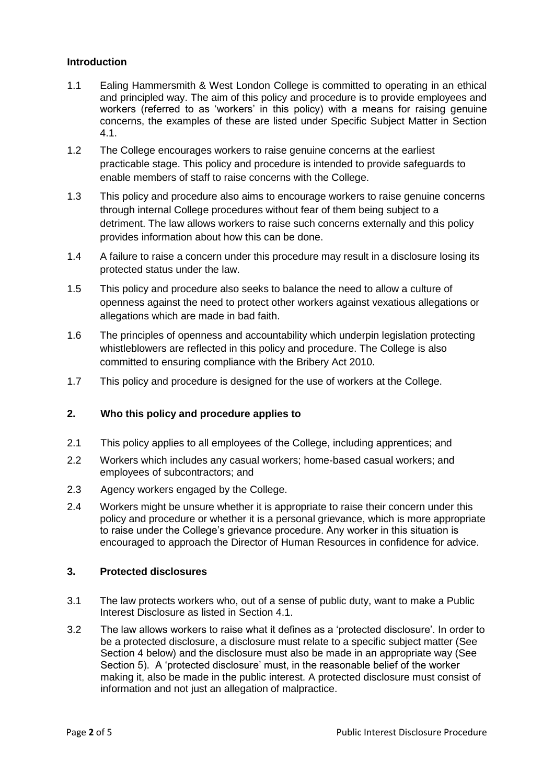### **Introduction**

- 1.1 Ealing Hammersmith & West London College is committed to operating in an ethical and principled way. The aim of this policy and procedure is to provide employees and workers (referred to as 'workers' in this policy) with a means for raising genuine concerns, the examples of these are listed under Specific Subject Matter in Section 4.1.
- 1.2 The College encourages workers to raise genuine concerns at the earliest practicable stage. This policy and procedure is intended to provide safeguards to enable members of staff to raise concerns with the College.
- 1.3 This policy and procedure also aims to encourage workers to raise genuine concerns through internal College procedures without fear of them being subject to a detriment. The law allows workers to raise such concerns externally and this policy provides information about how this can be done.
- 1.4 A failure to raise a concern under this procedure may result in a disclosure losing its protected status under the law.
- 1.5 This policy and procedure also seeks to balance the need to allow a culture of openness against the need to protect other workers against vexatious allegations or allegations which are made in bad faith.
- 1.6 The principles of openness and accountability which underpin legislation protecting whistleblowers are reflected in this policy and procedure. The College is also committed to ensuring compliance with the Bribery Act 2010.
- 1.7 This policy and procedure is designed for the use of workers at the College.

### **2. Who this policy and procedure applies to**

- 2.1 This policy applies to all employees of the College, including apprentices; and
- 2.2 Workers which includes any casual workers; home-based casual workers; and employees of subcontractors; and
- 2.3 Agency workers engaged by the College.
- 2.4 Workers might be unsure whether it is appropriate to raise their concern under this policy and procedure or whether it is a personal grievance, which is more appropriate to raise under the College's grievance procedure. Any worker in this situation is encouraged to approach the Director of Human Resources in confidence for advice.

#### **3. Protected disclosures**

- 3.1 The law protects workers who, out of a sense of public duty, want to make a Public Interest Disclosure as listed in Section 4.1.
- 3.2 The law allows workers to raise what it defines as a 'protected disclosure'. In order to be a protected disclosure, a disclosure must relate to a specific subject matter (See Section 4 below) and the disclosure must also be made in an appropriate way (See Section 5). A 'protected disclosure' must, in the reasonable belief of the worker making it, also be made in the public interest. A protected disclosure must consist of information and not just an allegation of malpractice.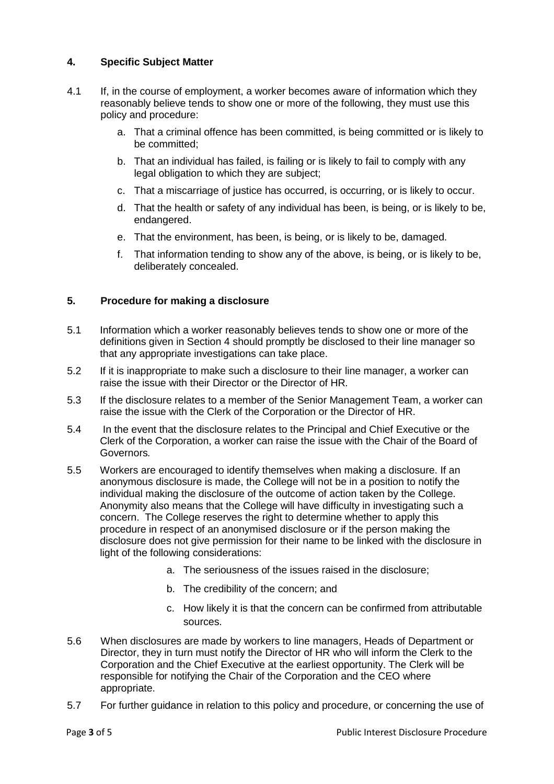## **4. Specific Subject Matter**

- 4.1 If, in the course of employment, a worker becomes aware of information which they reasonably believe tends to show one or more of the following, they must use this policy and procedure:
	- a. That a criminal offence has been committed, is being committed or is likely to be committed;
	- b. That an individual has failed, is failing or is likely to fail to comply with any legal obligation to which they are subject;
	- c. That a miscarriage of justice has occurred, is occurring, or is likely to occur.
	- d. That the health or safety of any individual has been, is being, or is likely to be, endangered.
	- e. That the environment, has been, is being, or is likely to be, damaged.
	- f. That information tending to show any of the above, is being, or is likely to be, deliberately concealed.

## **5. Procedure for making a disclosure**

- 5.1 Information which a worker reasonably believes tends to show one or more of the definitions given in Section 4 should promptly be disclosed to their line manager so that any appropriate investigations can take place.
- 5.2 If it is inappropriate to make such a disclosure to their line manager, a worker can raise the issue with their Director or the Director of HR*.*
- 5.3 If the disclosure relates to a member of the Senior Management Team, a worker can raise the issue with the Clerk of the Corporation or the Director of HR.
- 5.4 In the event that the disclosure relates to the Principal and Chief Executive or the Clerk of the Corporation, a worker can raise the issue with the Chair of the Board of Governors*.*
- 5.5 Workers are encouraged to identify themselves when making a disclosure. If an anonymous disclosure is made, the College will not be in a position to notify the individual making the disclosure of the outcome of action taken by the College. Anonymity also means that the College will have difficulty in investigating such a concern. The College reserves the right to determine whether to apply this procedure in respect of an anonymised disclosure or if the person making the disclosure does not give permission for their name to be linked with the disclosure in light of the following considerations:
	- a. The seriousness of the issues raised in the disclosure;
	- b. The credibility of the concern; and
	- c. How likely it is that the concern can be confirmed from attributable sources.
- 5.6 When disclosures are made by workers to line managers, Heads of Department or Director, they in turn must notify the Director of HR who will inform the Clerk to the Corporation and the Chief Executive at the earliest opportunity. The Clerk will be responsible for notifying the Chair of the Corporation and the CEO where appropriate.
- 5.7 For further guidance in relation to this policy and procedure, or concerning the use of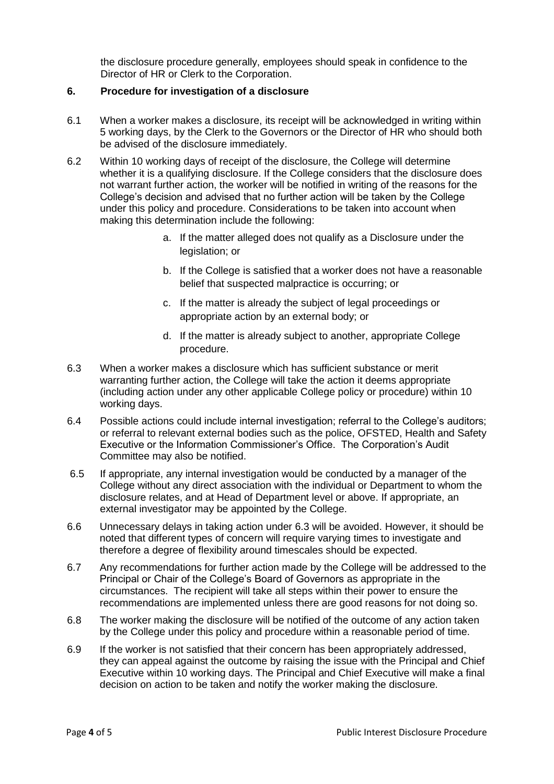the disclosure procedure generally, employees should speak in confidence to the Director of HR or Clerk to the Corporation.

### **6. Procedure for investigation of a disclosure**

- 6.1 When a worker makes a disclosure, its receipt will be acknowledged in writing within 5 working days, by the Clerk to the Governors or the Director of HR who should both be advised of the disclosure immediately.
- 6.2 Within 10 working days of receipt of the disclosure, the College will determine whether it is a qualifying disclosure. If the College considers that the disclosure does not warrant further action, the worker will be notified in writing of the reasons for the College's decision and advised that no further action will be taken by the College under this policy and procedure. Considerations to be taken into account when making this determination include the following:
	- a. If the matter alleged does not qualify as a Disclosure under the legislation; or
	- b. If the College is satisfied that a worker does not have a reasonable belief that suspected malpractice is occurring; or
	- c. If the matter is already the subject of legal proceedings or appropriate action by an external body; or
	- d. If the matter is already subject to another, appropriate College procedure.
- 6.3 When a worker makes a disclosure which has sufficient substance or merit warranting further action, the College will take the action it deems appropriate (including action under any other applicable College policy or procedure) within 10 working days.
- 6.4 Possible actions could include internal investigation; referral to the College's auditors; or referral to relevant external bodies such as the police, OFSTED, Health and Safety Executive or the Information Commissioner's Office. The Corporation's Audit Committee may also be notified.
- 6.5 If appropriate, any internal investigation would be conducted by a manager of the College without any direct association with the individual or Department to whom the disclosure relates, and at Head of Department level or above. If appropriate, an external investigator may be appointed by the College.
- 6.6 Unnecessary delays in taking action under 6.3 will be avoided. However, it should be noted that different types of concern will require varying times to investigate and therefore a degree of flexibility around timescales should be expected.
- 6.7 Any recommendations for further action made by the College will be addressed to the Principal or Chair of the College's Board of Governors as appropriate in the circumstances. The recipient will take all steps within their power to ensure the recommendations are implemented unless there are good reasons for not doing so.
- 6.8 The worker making the disclosure will be notified of the outcome of any action taken by the College under this policy and procedure within a reasonable period of time.
- 6.9 If the worker is not satisfied that their concern has been appropriately addressed, they can appeal against the outcome by raising the issue with the Principal and Chief Executive within 10 working days. The Principal and Chief Executive will make a final decision on action to be taken and notify the worker making the disclosure.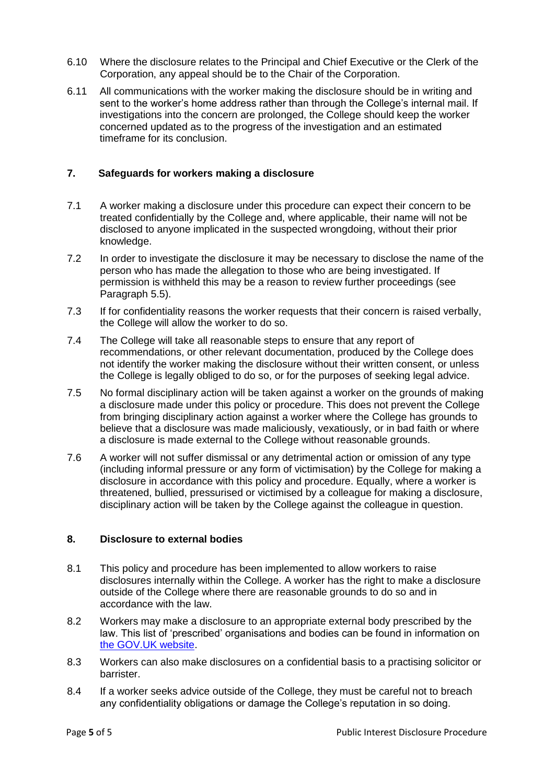- 6.10 Where the disclosure relates to the Principal and Chief Executive or the Clerk of the Corporation, any appeal should be to the Chair of the Corporation.
- 6.11 All communications with the worker making the disclosure should be in writing and sent to the worker's home address rather than through the College's internal mail. If investigations into the concern are prolonged, the College should keep the worker concerned updated as to the progress of the investigation and an estimated timeframe for its conclusion.

### **7. Safeguards for workers making a disclosure**

- 7.1 A worker making a disclosure under this procedure can expect their concern to be treated confidentially by the College and, where applicable, their name will not be disclosed to anyone implicated in the suspected wrongdoing, without their prior knowledge.
- 7.2 In order to investigate the disclosure it may be necessary to disclose the name of the person who has made the allegation to those who are being investigated. If permission is withheld this may be a reason to review further proceedings (see Paragraph 5.5).
- 7.3 If for confidentiality reasons the worker requests that their concern is raised verbally, the College will allow the worker to do so.
- 7.4 The College will take all reasonable steps to ensure that any report of recommendations, or other relevant documentation, produced by the College does not identify the worker making the disclosure without their written consent, or unless the College is legally obliged to do so, or for the purposes of seeking legal advice.
- 7.5 No formal disciplinary action will be taken against a worker on the grounds of making a disclosure made under this policy or procedure. This does not prevent the College from bringing disciplinary action against a worker where the College has grounds to believe that a disclosure was made maliciously, vexatiously, or in bad faith or where a disclosure is made external to the College without reasonable grounds.
- 7.6 A worker will not suffer dismissal or any detrimental action or omission of any type (including informal pressure or any form of victimisation) by the College for making a disclosure in accordance with this policy and procedure. Equally, where a worker is threatened, bullied, pressurised or victimised by a colleague for making a disclosure, disciplinary action will be taken by the College against the colleague in question.

### **8. Disclosure to external bodies**

- 8.1 This policy and procedure has been implemented to allow workers to raise disclosures internally within the College. A worker has the right to make a disclosure outside of the College where there are reasonable grounds to do so and in accordance with the law.
- 8.2 Workers may make a disclosure to an appropriate external body prescribed by the law. This list of 'prescribed' organisations and bodies can be found in information on [the GOV.UK website.](https://www.gov.uk/government/uploads/system/uploads/attachment_data/file/183340/11-641-blowing-the-whistle-to-a-prescribed-person.pdf)
- 8.3 Workers can also make disclosures on a confidential basis to a practising solicitor or barrister.
- 8.4 If a worker seeks advice outside of the College, they must be careful not to breach any confidentiality obligations or damage the College's reputation in so doing.